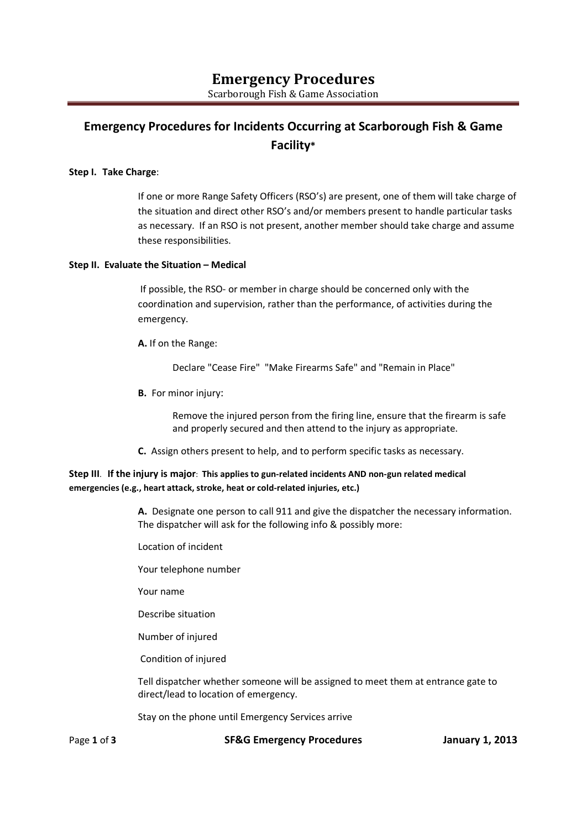# **Emergency Procedures for Incidents Occurring at Scarborough Fish & Game Facility\***

#### **Step I. Take Charge**:

If one or more Range Safety Officers (RSO's) are present, one of them will take charge of the situation and direct other RSO's and/or members present to handle particular tasks as necessary. If an RSO is not present, another member should take charge and assume these responsibilities.

#### **Step II. Evaluate the Situation – Medical**

If possible, the RSO- or member in charge should be concerned only with the coordination and supervision, rather than the performance, of activities during the emergency.

**A.** If on the Range:

Declare "Cease Fire" "Make Firearms Safe" and "Remain in Place"

**B.** For minor injury:

Remove the injured person from the firing line, ensure that the firearm is safe and properly secured and then attend to the injury as appropriate.

**C.** Assign others present to help, and to perform specific tasks as necessary.

#### **Step III**. **If the injury is major**: **This applies to gun-related incidents AND non-gun related medical emergencies (e.g., heart attack, stroke, heat or cold-related injuries, etc.)**

**A.** Designate one person to call 911 and give the dispatcher the necessary information. The dispatcher will ask for the following info & possibly more:

- Location of incident
- Your telephone number
- Your name
- Describe situation
- Number of injured
- Condition of injured

Tell dispatcher whether someone will be assigned to meet them at entrance gate to direct/lead to location of emergency.

Stay on the phone until Emergency Services arrive

Page **1** of **3 SF&G Emergency Procedures January 1, 2013**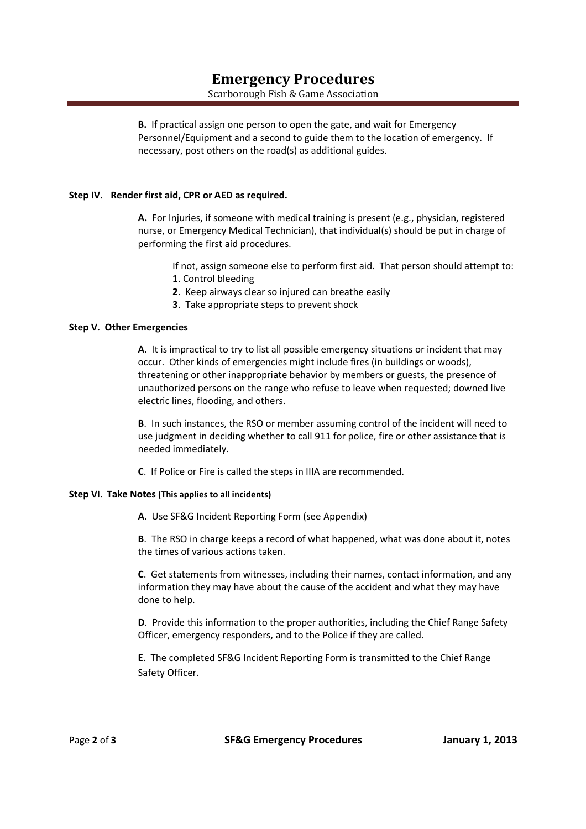### **Emergency Procedures**  Scarborough Fish & Game Association

**B.** If practical assign one person to open the gate, and wait for Emergency Personnel/Equipment and a second to guide them to the location of emergency. If necessary, post others on the road(s) as additional guides.

#### **Step IV. Render first aid, CPR or AED as required.**

**A.** For Injuries, if someone with medical training is present (e.g., physician, registered nurse, or Emergency Medical Technician), that individual(s) should be put in charge of performing the first aid procedures.

If not, assign someone else to perform first aid. That person should attempt to:

- **1**. Control bleeding
- **2**. Keep airways clear so injured can breathe easily
- **3**. Take appropriate steps to prevent shock

#### **Step V. Other Emergencies**

**A**. It is impractical to try to list all possible emergency situations or incident that may occur. Other kinds of emergencies might include fires (in buildings or woods), threatening or other inappropriate behavior by members or guests, the presence of unauthorized persons on the range who refuse to leave when requested; downed live electric lines, flooding, and others.

**B**. In such instances, the RSO or member assuming control of the incident will need to use judgment in deciding whether to call 911 for police, fire or other assistance that is needed immediately.

**C**. If Police or Fire is called the steps in IIIA are recommended.

#### **Step VI. Take Notes (This applies to all incidents)**

 **A**. Use SF&G Incident Reporting Form (see Appendix)

**B**. The RSO in charge keeps a record of what happened, what was done about it, notes the times of various actions taken.

**C**. Get statements from witnesses, including their names, contact information, and any information they may have about the cause of the accident and what they may have done to help.

**D**. Provide this information to the proper authorities, including the Chief Range Safety Officer, emergency responders, and to the Police if they are called.

**E**. The completed SF&G Incident Reporting Form is transmitted to the Chief Range Safety Officer.